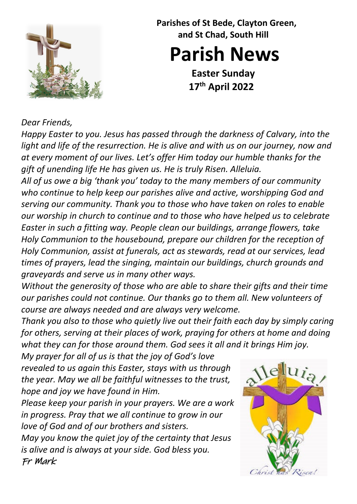

 **Parishes of St Bede, Clayton Green, and St Chad, South Hill**

**Parish News**

**Easter Sunday 17th April 2022**

## *Dear Friends,*

*Happy Easter to you. Jesus has passed through the darkness of Calvary, into the light and life of the resurrection. He is alive and with us on our journey, now and at every moment of our lives. Let's offer Him today our humble thanks for the gift of unending life He has given us. He is truly Risen. Alleluia.* 

*All of us owe a big 'thank you' today to the many members of our community who continue to help keep our parishes alive and active, worshipping God and serving our community. Thank you to those who have taken on roles to enable our worship in church to continue and to those who have helped us to celebrate Easter in such a fitting way. People clean our buildings, arrange flowers, take Holy Communion to the housebound, prepare our children for the reception of Holy Communion, assist at funerals, act as stewards, read at our services, lead times of prayers, lead the singing, maintain our buildings, church grounds and graveyards and serve us in many other ways.* 

*Without the generosity of those who are able to share their gifts and their time our parishes could not continue. Our thanks go to them all. New volunteers of course are always needed and are always very welcome.* 

*Thank you also to those who quietly live out their faith each day by simply caring for others, serving at their places of work, praying for others at home and doing what they can for those around them. God sees it all and it brings Him joy.* 

*My prayer for all of us is that the joy of God's love revealed to us again this Easter, stays with us through the year. May we all be faithful witnesses to the trust, hope and joy we have found in Him.* 

*Please keep your parish in your prayers. We are a work in progress. Pray that we all continue to grow in our love of God and of our brothers and sisters.*

*May you know the quiet joy of the certainty that Jesus is alive and is always at your side. God bless you.* Fr Mark

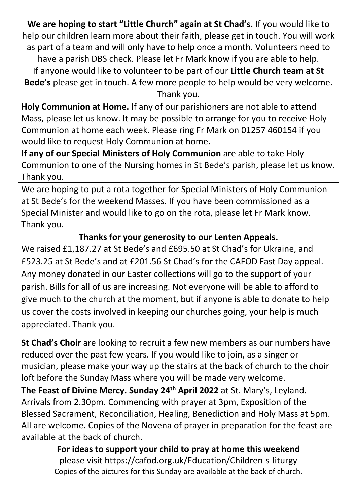**We are hoping to start "Little Church" again at St Chad's.** If you would like to help our children learn more about their faith, please get in touch. You will work as part of a team and will only have to help once a month. Volunteers need to have a parish DBS check. Please let Fr Mark know if you are able to help. If anyone would like to volunteer to be part of our **Little Church team at St Bede's** please get in touch. A few more people to help would be very welcome. Thank you.

**Holy Communion at Home.** If any of our parishioners are not able to attend Mass, please let us know. It may be possible to arrange for you to receive Holy Communion at home each week. Please ring Fr Mark on 01257 460154 if you would like to request Holy Communion at home.

**If any of our Special Ministers of Holy Communion** are able to take Holy Communion to one of the Nursing homes in St Bede's parish, please let us know. Thank you.

We are hoping to put a rota together for Special Ministers of Holy Communion at St Bede's for the weekend Masses. If you have been commissioned as a Special Minister and would like to go on the rota, please let Fr Mark know. Thank you.

## **Thanks for your generosity to our Lenten Appeals.**

We raised £1,187.27 at St Bede's and £695.50 at St Chad's for Ukraine, and £523.25 at St Bede's and at £201.56 St Chad's for the CAFOD Fast Day appeal. Any money donated in our Easter collections will go to the support of your parish. Bills for all of us are increasing. Not everyone will be able to afford to give much to the church at the moment, but if anyone is able to donate to help us cover the costs involved in keeping our churches going, your help is much appreciated. Thank you.

**St Chad's Choir** are looking to recruit a few new members as our numbers have reduced over the past few years. If you would like to join, as a singer or musician, please make your way up the stairs at the back of church to the choir loft before the Sunday Mass where you will be made very welcome.

**The Feast of Divine Mercy. Sunday 24th April 2022** at St. Mary's, Leyland. Arrivals from 2.30pm. Commencing with prayer at 3pm, Exposition of the Blessed Sacrament, Reconciliation, Healing, Benediction and Holy Mass at 5pm. All are welcome. Copies of the Novena of prayer in preparation for the feast are available at the back of church.

> **For ideas to support your child to pray at home this weekend**  please visit<https://cafod.org.uk/Education/Children-s-liturgy> Copies of the pictures for this Sunday are available at the back of church.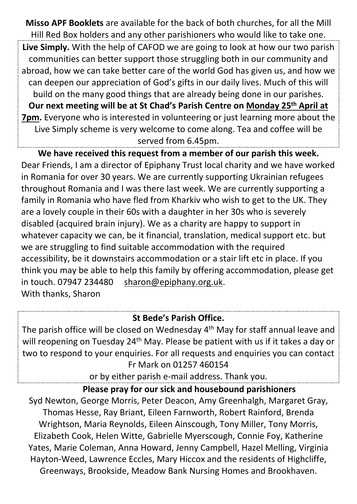**Misso APF Booklets** are available for the back of both churches, for all the Mill Hill Red Box holders and any other parishioners who would like to take one.

**Live Simply.** With the help of CAFOD we are going to look at how our two parish communities can better support those struggling both in our community and abroad, how we can take better care of the world God has given us, and how we can deepen our appreciation of God's gifts in our daily lives. Much of this will build on the many good things that are already being done in our parishes. **Our next meeting will be at St Chad's Parish Centre on Monday 25th April at 7pm.** Everyone who is interested in volunteering or just learning more about the Live Simply scheme is very welcome to come along. Tea and coffee will be served from 6.45pm.

**We have received this request from a member of our parish this week.** Dear Friends, I am a director of Epiphany Trust local charity and we have worked in Romania for over 30 years. We are currently supporting Ukrainian refugees throughout Romania and I was there last week. We are currently supporting a family in Romania who have fled from Kharkiv who wish to get to the UK. They are a lovely couple in their 60s with a daughter in her 30s who is severely disabled (acquired brain injury). We as a charity are happy to support in whatever capacity we can, be it financial, translation, medical support etc. but we are struggling to find suitable accommodation with the required accessibility, be it downstairs accommodation or a stair lift etc in place. If you think you may be able to help this family by offering accommodation, please get in touch. 07947 234480 [sharon@epiphany.org.uk.](mailto:sharon@epiphany.org.uk) With thanks, Sharon

## **St Bede's Parish Office.**

The parish office will be closed on Wednesday 4th May for staff annual leave and will reopening on Tuesday 24<sup>th</sup> May. Please be patient with us if it takes a day or two to respond to your enquiries. For all requests and enquiries you can contact Fr Mark on 01257 460154

or by either parish e-mail address. Thank you.

**Please pray for our sick and housebound parishioners**

Syd Newton, George Morris, Peter Deacon, Amy Greenhalgh, Margaret Gray, Thomas Hesse, Ray Briant, Eileen Farnworth, Robert Rainford, Brenda Wrightson, Maria Reynolds, Eileen Ainscough, Tony Miller, Tony Morris, Elizabeth Cook, Helen Witte, Gabrielle Myerscough, Connie Foy, Katherine Yates, Marie Coleman, Anna Howard, Jenny Campbell, Hazel Melling, Virginia Hayton-Weed, Lawrence Eccles, Mary Hiccox and the residents of Highcliffe, Greenways, Brookside, Meadow Bank Nursing Homes and Brookhaven.